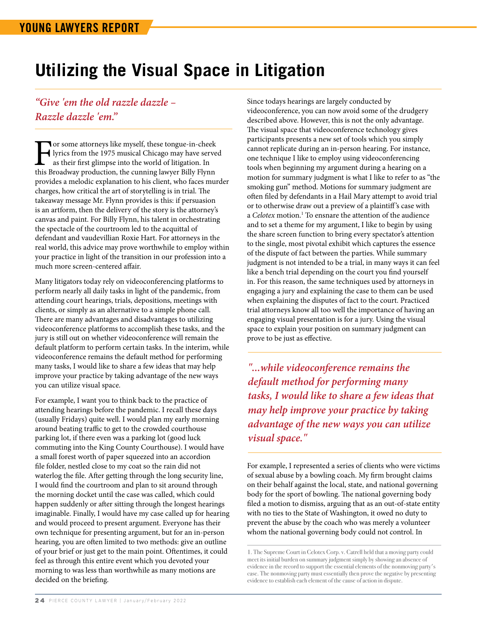## **Utilizing the Visual Space in Litigation**

## *"Give 'em the old razzle dazzle – Razzle dazzle 'em."*

For some attorneys like myself, these tongue-in-cheek<br>lyrics from the 1975 musical Chicago may have serve<br>as their first glimpse into the world of litigation. In<br>this Broadway production, the cunning lawyer Billy Flynn lyrics from the 1975 musical Chicago may have served as their first glimpse into the world of litigation. In this Broadway production, the cunning lawyer Billy Flynn provides a melodic explanation to his client, who faces murder charges, how critical the art of storytelling is in trial. The takeaway message Mr. Flynn provides is this: if persuasion is an artform, then the delivery of the story is the attorney's canvas and paint. For Billy Flynn, his talent in orchestrating the spectacle of the courtroom led to the acquittal of defendant and vaudevillian Roxie Hart. For attorneys in the real world, this advice may prove worthwhile to employ within your practice in light of the transition in our profession into a much more screen-centered affair.

Many litigators today rely on videoconferencing platforms to perform nearly all daily tasks in light of the pandemic, from attending court hearings, trials, depositions, meetings with clients, or simply as an alternative to a simple phone call. There are many advantages and disadvantages to utilizing videoconference platforms to accomplish these tasks, and the jury is still out on whether videoconference will remain the default platform to perform certain tasks. In the interim, while videoconference remains the default method for performing many tasks, I would like to share a few ideas that may help improve your practice by taking advantage of the new ways you can utilize visual space.

For example, I want you to think back to the practice of attending hearings before the pandemic. I recall these days (usually Fridays) quite well. I would plan my early morning around beating traffic to get to the crowded courthouse parking lot, if there even was a parking lot (good luck commuting into the King County Courthouse). I would have a small forest worth of paper squeezed into an accordion file folder, nestled close to my coat so the rain did not waterlog the file. After getting through the long security line, I would find the courtroom and plan to sit around through the morning docket until the case was called, which could happen suddenly or after sitting through the longest hearings imaginable. Finally, I would have my case called up for hearing and would proceed to present argument. Everyone has their own technique for presenting argument, but for an in-person hearing, you are often limited to two methods: give an outline of your brief or just get to the main point. Oftentimes, it could feel as through this entire event which you devoted your morning to was less than worthwhile as many motions are decided on the briefing.

Since todays hearings are largely conducted by videoconference, you can now avoid some of the drudgery described above. However, this is not the only advantage. The visual space that videoconference technology gives participants presents a new set of tools which you simply cannot replicate during an in-person hearing. For instance, one technique I like to employ using videoconferencing tools when beginning my argument during a hearing on a motion for summary judgment is what I like to refer to as "the smoking gun" method. Motions for summary judgment are often filed by defendants in a Hail Mary attempt to avoid trial or to otherwise draw out a preview of a plaintiff 's case with a *Celotex* motion.<sup>1</sup> To ensnare the attention of the audience and to set a theme for my argument, I like to begin by using the share screen function to bring every spectator's attention to the single, most pivotal exhibit which captures the essence of the dispute of fact between the parties. While summary judgment is not intended to be a trial, in many ways it can feel like a bench trial depending on the court you find yourself in. For this reason, the same techniques used by attorneys in engaging a jury and explaining the case to them can be used when explaining the disputes of fact to the court. Practiced trial attorneys know all too well the importance of having an engaging visual presentation is for a jury. Using the visual space to explain your position on summary judgment can prove to be just as effective.

*"...while videoconference remains the default method for performing many tasks, I would like to share a few ideas that may help improve your practice by taking advantage of the new ways you can utilize visual space."*

For example, I represented a series of clients who were victims of sexual abuse by a bowling coach. My firm brought claims on their behalf against the local, state, and national governing body for the sport of bowling. The national governing body filed a motion to dismiss, arguing that as an out-of-state entity with no ties to the State of Washington, it owed no duty to prevent the abuse by the coach who was merely a volunteer whom the national governing body could not control. In

<sup>1.</sup> The Supreme Court in Celotex Corp. v. Catrell held that a moving party could meet its initial burden on summary judgment simply by showing an absence of evidence in the record to support the essential elements of the nonmoving party's case. The nonmoving party must essentially then prove the negative by presenting evidence to establish each element of the cause of action in dispute.